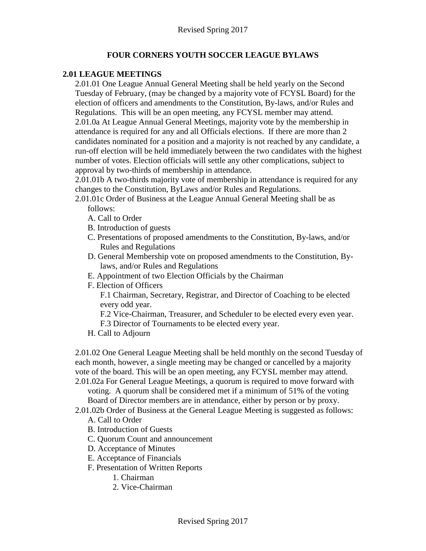## **FOUR CORNERS YOUTH SOCCER LEAGUE BYLAWS**

### **2.01 LEAGUE MEETINGS**

2.01.01 One League Annual General Meeting shall be held yearly on the Second Tuesday of February, (may be changed by a majority vote of FCYSL Board) for the election of officers and amendments to the Constitution, By-laws, and/or Rules and Regulations. This will be an open meeting, any FCYSL member may attend. 2.01.0a At League Annual General Meetings, majority vote by the membership in attendance is required for any and all Officials elections. If there are more than 2 candidates nominated for a position and a majority is not reached by any candidate, a run-off election will be held immediately between the two candidates with the highest number of votes. Election officials will settle any other complications, subject to approval by two-thirds of membership in attendance.

2.01.01b A two-thirds majority vote of membership in attendance is required for any changes to the Constitution, ByLaws and/or Rules and Regulations.

- 2.01.01c Order of Business at the League Annual General Meeting shall be as follows:
	- A. Call to Order
	- B. Introduction of guests
	- C. Presentations of proposed amendments to the Constitution, By-laws, and/or Rules and Regulations
	- D. General Membership vote on proposed amendments to the Constitution, Bylaws, and/or Rules and Regulations
	- E. Appointment of two Election Officials by the Chairman
	- F. Election of Officers

F.1 Chairman, Secretary, Registrar, and Director of Coaching to be elected every odd year.

F.2 Vice-Chairman, Treasurer, and Scheduler to be elected every even year. F.3 Director of Tournaments to be elected every year.

H. Call to Adjourn

2.01.02 One General League Meeting shall be held monthly on the second Tuesday of each month, however, a single meeting may be changed or cancelled by a majority vote of the board. This will be an open meeting, any FCYSL member may attend.

2.01.02a For General League Meetings, a quorum is required to move forward with voting. A quorum shall be considered met if a minimum of 51% of the voting Board of Director members are in attendance, either by person or by proxy.

2.01.02b Order of Business at the General League Meeting is suggested as follows:

- A. Call to Order
- B. Introduction of Guests
- C. Quorum Count and announcement
- D. Acceptance of Minutes
- E. Acceptance of Financials
- F. Presentation of Written Reports
	- 1. Chairman
	- 2. Vice-Chairman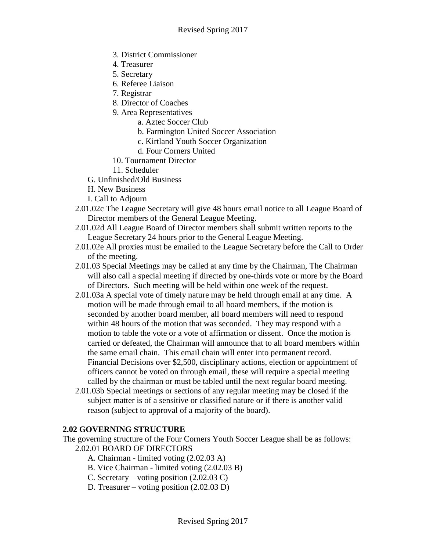- 3. District Commissioner
- 4. Treasurer
- 5. Secretary
- 6. Referee Liaison
- 7. Registrar
- 8. Director of Coaches
- 9. Area Representatives
	- a. Aztec Soccer Club
	- b. Farmington United Soccer Association
	- c. Kirtland Youth Soccer Organization
	- d. Four Corners United
- 10. Tournament Director
- 11. Scheduler
- G. Unfinished/Old Business
- H. New Business
- I. Call to Adjourn
- 2.01.02c The League Secretary will give 48 hours email notice to all League Board of Director members of the General League Meeting.
- 2.01.02d All League Board of Director members shall submit written reports to the League Secretary 24 hours prior to the General League Meeting.
- 2.01.02e All proxies must be emailed to the League Secretary before the Call to Order of the meeting.
- 2.01.03 Special Meetings may be called at any time by the Chairman, The Chairman will also call a special meeting if directed by one-thirds vote or more by the Board of Directors. Such meeting will be held within one week of the request.
- 2.01.03a A special vote of timely nature may be held through email at any time. A motion will be made through email to all board members, if the motion is seconded by another board member, all board members will need to respond within 48 hours of the motion that was seconded. They may respond with a motion to table the vote or a vote of affirmation or dissent. Once the motion is carried or defeated, the Chairman will announce that to all board members within the same email chain. This email chain will enter into permanent record. Financial Decisions over \$2,500, disciplinary actions, election or appointment of officers cannot be voted on through email, these will require a special meeting called by the chairman or must be tabled until the next regular board meeting.
- 2.01.03b Special meetings or sections of any regular meeting may be closed if the subject matter is of a sensitive or classified nature or if there is another valid reason (subject to approval of a majority of the board).

# **2.02 GOVERNING STRUCTURE**

- The governing structure of the Four Corners Youth Soccer League shall be as follows: 2.02.01 BOARD OF DIRECTORS
	- A. Chairman limited voting (2.02.03 A)
	- B. Vice Chairman limited voting (2.02.03 B)
	- C. Secretary voting position (2.02.03 C)
	- D. Treasurer voting position (2.02.03 D)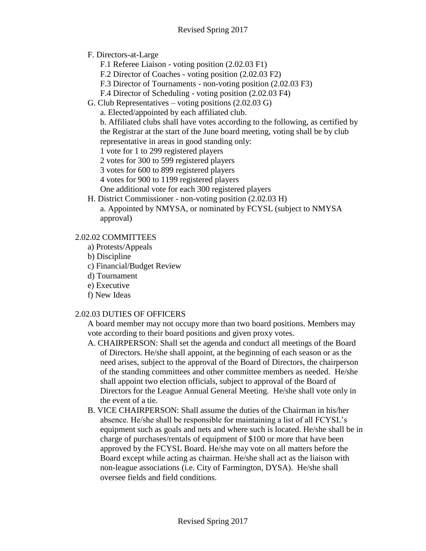## F. Directors-at-Large

- F.1 Referee Liaison voting position (2.02.03 F1)
- F.2 Director of Coaches voting position (2.02.03 F2)
- F.3 Director of Tournaments non-voting position (2.02.03 F3)
- F.4 Director of Scheduling voting position (2.02.03 F4)
- G. Club Representatives voting positions (2.02.03 G)
	- a. Elected/appointed by each affiliated club.

b. Affiliated clubs shall have votes according to the following, as certified by the Registrar at the start of the June board meeting, voting shall be by club representative in areas in good standing only:

- 1 vote for 1 to 299 registered players
- 2 votes for 300 to 599 registered players
- 3 votes for 600 to 899 registered players
- 4 votes for 900 to 1199 registered players
- One additional vote for each 300 registered players
- H. District Commissioner non-voting position (2.02.03 H) a. Appointed by NMYSA, or nominated by FCYSL (subject to NMYSA approval)

## 2.02.02 COMMITTEES

- a) Protests/Appeals
- b) Discipline
- c) Financial/Budget Review
- d) Tournament
- e) Executive
- f) New Ideas

### 2.02.03 DUTIES OF OFFICERS

A board member may not occupy more than two board positions. Members may vote according to their board positions and given proxy votes.

- A. CHAIRPERSON: Shall set the agenda and conduct all meetings of the Board of Directors. He/she shall appoint, at the beginning of each season or as the need arises, subject to the approval of the Board of Directors, the chairperson of the standing committees and other committee members as needed. He/she shall appoint two election officials, subject to approval of the Board of Directors for the League Annual General Meeting. He/she shall vote only in the event of a tie.
- B. VICE CHAIRPERSON: Shall assume the duties of the Chairman in his/her absence. He/she shall be responsible for maintaining a list of all FCYSL's equipment such as goals and nets and where such is located. He/she shall be in charge of purchases/rentals of equipment of \$100 or more that have been approved by the FCYSL Board. He/she may vote on all matters before the Board except while acting as chairman. He/she shall act as the liaison with non-league associations (i.e. City of Farmington, DYSA). He/she shall oversee fields and field conditions.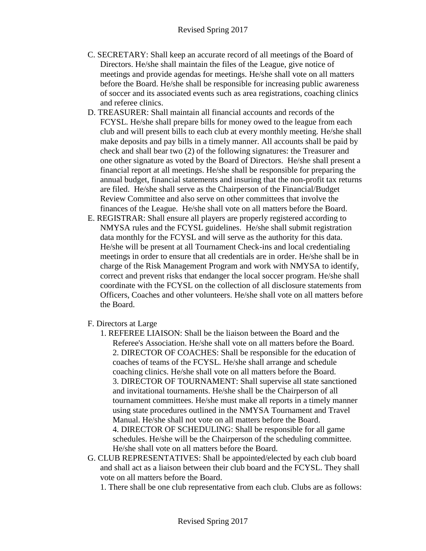- C. SECRETARY: Shall keep an accurate record of all meetings of the Board of Directors. He/she shall maintain the files of the League, give notice of meetings and provide agendas for meetings. He/she shall vote on all matters before the Board. He/she shall be responsible for increasing public awareness of soccer and its associated events such as area registrations, coaching clinics and referee clinics.
- D. TREASURER: Shall maintain all financial accounts and records of the FCYSL. He/she shall prepare bills for money owed to the league from each club and will present bills to each club at every monthly meeting. He/she shall make deposits and pay bills in a timely manner. All accounts shall be paid by check and shall bear two (2) of the following signatures: the Treasurer and one other signature as voted by the Board of Directors. He/she shall present a financial report at all meetings. He/she shall be responsible for preparing the annual budget, financial statements and insuring that the non-profit tax returns are filed. He/she shall serve as the Chairperson of the Financial/Budget Review Committee and also serve on other committees that involve the finances of the League. He/she shall vote on all matters before the Board.
- E. REGISTRAR: Shall ensure all players are properly registered according to NMYSA rules and the FCYSL guidelines. He/she shall submit registration data monthly for the FCYSL and will serve as the authority for this data. He/she will be present at all Tournament Check-ins and local credentialing meetings in order to ensure that all credentials are in order. He/she shall be in charge of the Risk Management Program and work with NMYSA to identify, correct and prevent risks that endanger the local soccer program. He/she shall coordinate with the FCYSL on the collection of all disclosure statements from Officers, Coaches and other volunteers. He/she shall vote on all matters before the Board.
- F. Directors at Large
	- 1. REFEREE LIAISON: Shall be the liaison between the Board and the Referee's Association. He/she shall vote on all matters before the Board. 2. DIRECTOR OF COACHES: Shall be responsible for the education of coaches of teams of the FCYSL. He/she shall arrange and schedule coaching clinics. He/she shall vote on all matters before the Board. 3. DIRECTOR OF TOURNAMENT: Shall supervise all state sanctioned and invitational tournaments. He/she shall be the Chairperson of all tournament committees. He/she must make all reports in a timely manner using state procedures outlined in the NMYSA Tournament and Travel Manual. He/she shall not vote on all matters before the Board. 4. DIRECTOR OF SCHEDULING: Shall be responsible for all game schedules. He/she will be the Chairperson of the scheduling committee. He/she shall vote on all matters before the Board.
- G. CLUB REPRESENTATIVES: Shall be appointed/elected by each club board and shall act as a liaison between their club board and the FCYSL. They shall vote on all matters before the Board.
	- 1. There shall be one club representative from each club. Clubs are as follows: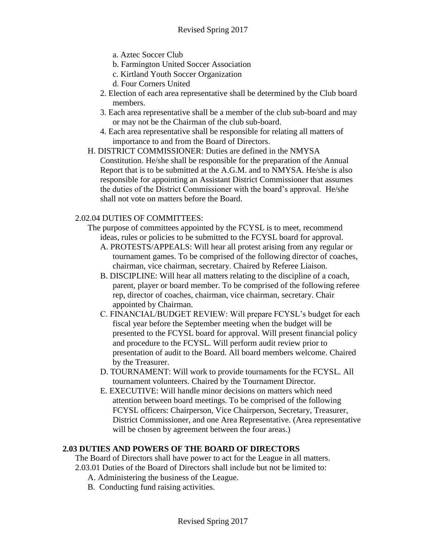- a. Aztec Soccer Club
- b. Farmington United Soccer Association
- c. Kirtland Youth Soccer Organization
- d. Four Corners United
- 2. Election of each area representative shall be determined by the Club board members.
- 3. Each area representative shall be a member of the club sub-board and may or may not be the Chairman of the club sub-board.
- 4. Each area representative shall be responsible for relating all matters of importance to and from the Board of Directors.
- H. DISTRICT COMMISSIONER: Duties are defined in the NMYSA Constitution. He/she shall be responsible for the preparation of the Annual Report that is to be submitted at the A.G.M. and to NMYSA. He/she is also responsible for appointing an Assistant District Commissioner that assumes the duties of the District Commissioner with the board's approval. He/she shall not vote on matters before the Board.

#### 2.02.04 DUTIES OF COMMITTEES:

- The purpose of committees appointed by the FCYSL is to meet, recommend ideas, rules or policies to be submitted to the FCYSL board for approval.
	- A. PROTESTS/APPEALS: Will hear all protest arising from any regular or tournament games. To be comprised of the following director of coaches, chairman, vice chairman, secretary. Chaired by Referee Liaison.
	- B. DISCIPLINE: Will hear all matters relating to the discipline of a coach, parent, player or board member. To be comprised of the following referee rep, director of coaches, chairman, vice chairman, secretary. Chair appointed by Chairman.
	- C. FINANCIAL/BUDGET REVIEW: Will prepare FCYSL's budget for each fiscal year before the September meeting when the budget will be presented to the FCYSL board for approval. Will present financial policy and procedure to the FCYSL. Will perform audit review prior to presentation of audit to the Board. All board members welcome. Chaired by the Treasurer.
	- D. TOURNAMENT: Will work to provide tournaments for the FCYSL. All tournament volunteers. Chaired by the Tournament Director.
	- E. EXECUTIVE: Will handle minor decisions on matters which need attention between board meetings. To be comprised of the following FCYSL officers: Chairperson, Vice Chairperson, Secretary, Treasurer, District Commissioner, and one Area Representative. (Area representative will be chosen by agreement between the four areas.)

#### **2.03 DUTIES AND POWERS OF THE BOARD OF DIRECTORS**

The Board of Directors shall have power to act for the League in all matters.

- 2.03.01 Duties of the Board of Directors shall include but not be limited to:
	- A. Administering the business of the League.
	- B. Conducting fund raising activities.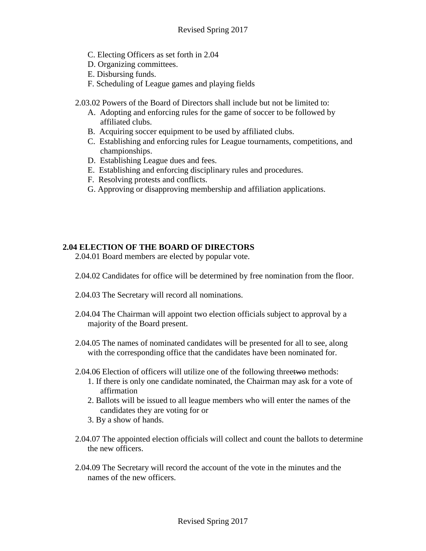- C. Electing Officers as set forth in 2.04
- D. Organizing committees.
- E. Disbursing funds.
- F. Scheduling of League games and playing fields

2.03.02 Powers of the Board of Directors shall include but not be limited to:

- A. Adopting and enforcing rules for the game of soccer to be followed by affiliated clubs.
- B. Acquiring soccer equipment to be used by affiliated clubs.
- C. Establishing and enforcing rules for League tournaments, competitions, and championships.
- D. Establishing League dues and fees.
- E. Establishing and enforcing disciplinary rules and procedures.
- F. Resolving protests and conflicts.
- G. Approving or disapproving membership and affiliation applications.

### **2.04 ELECTION OF THE BOARD OF DIRECTORS**

2.04.01 Board members are elected by popular vote.

- 2.04.02 Candidates for office will be determined by free nomination from the floor.
- 2.04.03 The Secretary will record all nominations.
- 2.04.04 The Chairman will appoint two election officials subject to approval by a majority of the Board present.
- 2.04.05 The names of nominated candidates will be presented for all to see, along with the corresponding office that the candidates have been nominated for.
- 2.04.06 Election of officers will utilize one of the following threetwo methods:
	- 1. If there is only one candidate nominated, the Chairman may ask for a vote of affirmation
	- 2. Ballots will be issued to all league members who will enter the names of the candidates they are voting for or
	- 3. By a show of hands.
- 2.04.07 The appointed election officials will collect and count the ballots to determine the new officers.
- 2.04.09 The Secretary will record the account of the vote in the minutes and the names of the new officers.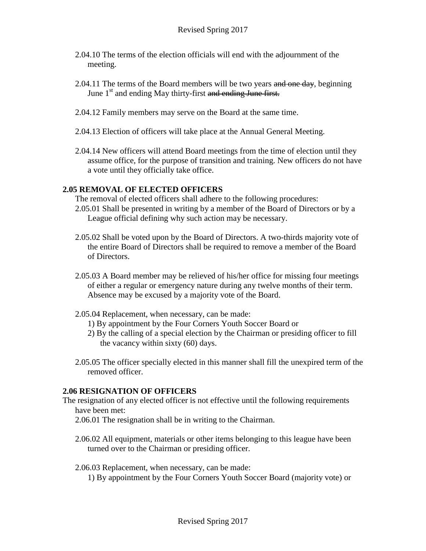- 2.04.10 The terms of the election officials will end with the adjournment of the meeting.
- 2.04.11 The terms of the Board members will be two years and one day, beginning June 1<sup>st</sup> and ending May thirty-first and ending June first.
- 2.04.12 Family members may serve on the Board at the same time.
- 2.04.13 Election of officers will take place at the Annual General Meeting.
- 2.04.14 New officers will attend Board meetings from the time of election until they assume office, for the purpose of transition and training. New officers do not have a vote until they officially take office.

# **2.05 REMOVAL OF ELECTED OFFICERS**

The removal of elected officers shall adhere to the following procedures:

- 2.05.01 Shall be presented in writing by a member of the Board of Directors or by a League official defining why such action may be necessary.
- 2.05.02 Shall be voted upon by the Board of Directors. A two-thirds majority vote of the entire Board of Directors shall be required to remove a member of the Board of Directors.
- 2.05.03 A Board member may be relieved of his/her office for missing four meetings of either a regular or emergency nature during any twelve months of their term. Absence may be excused by a majority vote of the Board.
- 2.05.04 Replacement, when necessary, can be made:
	- 1) By appointment by the Four Corners Youth Soccer Board or
	- 2) By the calling of a special election by the Chairman or presiding officer to fill the vacancy within sixty (60) days.
- 2.05.05 The officer specially elected in this manner shall fill the unexpired term of the removed officer.

### **2.06 RESIGNATION OF OFFICERS**

- The resignation of any elected officer is not effective until the following requirements have been met:
	- 2.06.01 The resignation shall be in writing to the Chairman.
	- 2.06.02 All equipment, materials or other items belonging to this league have been turned over to the Chairman or presiding officer.
	- 2.06.03 Replacement, when necessary, can be made: 1) By appointment by the Four Corners Youth Soccer Board (majority vote) or